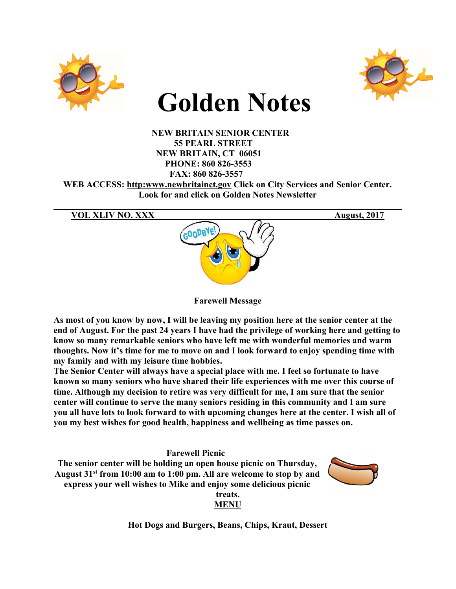



# Golden Notes

 NEW BRITAIN SENIOR CENTER 55 PEARL STREET NEW BRITAIN, CT 06051 PHONE: 860 826-3553 FAX: 860 826-3557 WEB ACCESS: http:www.newbritainct.gov Click on City Services and Senior Center. Look for and click on Golden Notes Newsletter



 $\mathcal{L}_\mathcal{L} = \mathcal{L}_\mathcal{L} = \mathcal{L}_\mathcal{L} = \mathcal{L}_\mathcal{L} = \mathcal{L}_\mathcal{L} = \mathcal{L}_\mathcal{L} = \mathcal{L}_\mathcal{L} = \mathcal{L}_\mathcal{L} = \mathcal{L}_\mathcal{L} = \mathcal{L}_\mathcal{L} = \mathcal{L}_\mathcal{L} = \mathcal{L}_\mathcal{L} = \mathcal{L}_\mathcal{L} = \mathcal{L}_\mathcal{L} = \mathcal{L}_\mathcal{L} = \mathcal{L}_\mathcal{L} = \mathcal{L}_\mathcal{L}$ 

Farewell Message

As most of you know by now, I will be leaving my position here at the senior center at the end of August. For the past 24 years I have had the privilege of working here and getting to know so many remarkable seniors who have left me with wonderful memories and warm thoughts. Now it's time for me to move on and I look forward to enjoy spending time with my family and with my leisure time hobbies.

The Senior Center will always have a special place with me. I feel so fortunate to have known so many seniors who have shared their life experiences with me over this course of time. Although my decision to retire was very difficult for me, I am sure that the senior center will continue to serve the many seniors residing in this community and I am sure you all have lots to look forward to with upcoming changes here at the center. I wish all of you my best wishes for good health, happiness and wellbeing as time passes on.

Farewell Picnic The senior center will be holding an open house picnic on Thursday, August 31<sup>st</sup> from 10:00 am to 1:00 pm. All are welcome to stop by and express your well wishes to Mike and enjoy some delicious picnic treats.



Hot Dogs and Burgers, Beans, Chips, Kraut, Dessert

MENU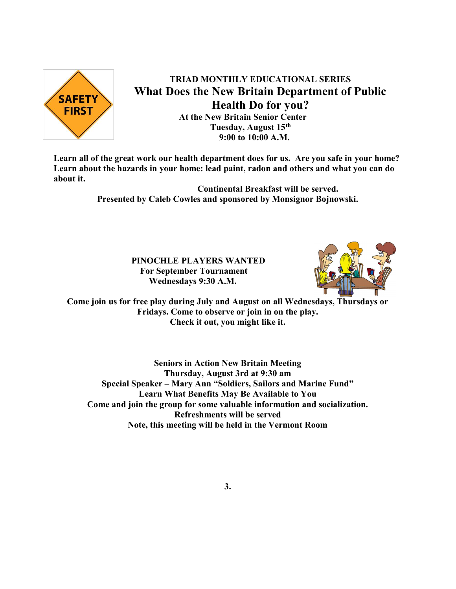

TRIAD MONTHLY EDUCATIONAL SERIES What Does the New Britain Department of Public Health Do for you? At the New Britain Senior Center Tuesday, August 15<sup>th</sup> 9:00 to 10:00 A.M.

Learn all of the great work our health department does for us. Are you safe in your home? Learn about the hazards in your home: lead paint, radon and others and what you can do about it.

> Continental Breakfast will be served. Presented by Caleb Cowles and sponsored by Monsignor Bojnowski.

> > PINOCHLE PLAYERS WANTED For September Tournament Wednesdays 9:30 A.M.



Come join us for free play during July and August on all Wednesdays, Thursdays or Fridays. Come to observe or join in on the play. Check it out, you might like it.

Seniors in Action New Britain Meeting Thursday, August 3rd at 9:30 am Special Speaker – Mary Ann "Soldiers, Sailors and Marine Fund" Learn What Benefits May Be Available to You Come and join the group for some valuable information and socialization. Refreshments will be served Note, this meeting will be held in the Vermont Room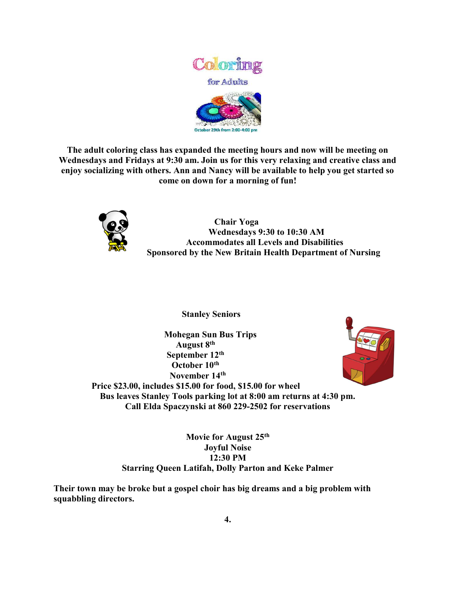

The adult coloring class has expanded the meeting hours and now will be meeting on Wednesdays and Fridays at 9:30 am. Join us for this very relaxing and creative class and enjoy socializing with others. Ann and Nancy will be available to help you get started so come on down for a morning of fun!



 Chair Yoga Wednesdays 9:30 to 10:30 AM Accommodates all Levels and Disabilities Sponsored by the New Britain Health Department of Nursing

Stanley Seniors

 Mohegan Sun Bus Trips August 8<sup>th</sup> September 12<sup>th</sup> October 10<sup>th</sup> November 14th



Price \$23.00, includes \$15.00 for food, \$15.00 for wheel Bus leaves Stanley Tools parking lot at 8:00 am returns at 4:30 pm. Call Elda Spaczynski at 860 229-2502 for reservations

> Movie for August 25<sup>th</sup> Joyful Noise 12:30 PM Starring Queen Latifah, Dolly Parton and Keke Palmer

Their town may be broke but a gospel choir has big dreams and a big problem with squabbling directors.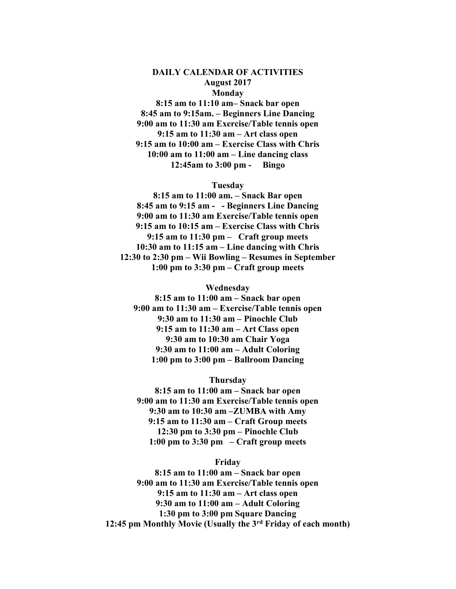#### DAILY CALENDAR OF ACTIVITIES August 2017 Monday

8:15 am to 11:10 am– Snack bar open 8:45 am to 9:15am. – Beginners Line Dancing 9:00 am to 11:30 am Exercise/Table tennis open 9:15 am to 11:30 am – Art class open 9:15 am to 10:00 am – Exercise Class with Chris 10:00 am to 11:00 am – Line dancing class 12:45am to 3:00 pm - Bingo

#### Tuesday

8:15 am to 11:00 am. – Snack Bar open 8:45 am to 9:15 am - - Beginners Line Dancing 9:00 am to 11:30 am Exercise/Table tennis open 9:15 am to 10:15 am – Exercise Class with Chris 9:15 am to 11:30 pm – Craft group meets 10:30 am to 11:15 am – Line dancing with Chris 12:30 to 2:30 pm – Wii Bowling – Resumes in September 1:00 pm to 3:30 pm – Craft group meets

#### Wednesday

8:15 am to 11:00 am – Snack bar open 9:00 am to 11:30 am – Exercise/Table tennis open 9:30 am to 11:30 am – Pinochle Club 9:15 am to 11:30 am – Art Class open 9:30 am to 10:30 am Chair Yoga 9:30 am to 11:00 am – Adult Coloring 1:00 pm to 3:00 pm – Ballroom Dancing

#### Thursday

8:15 am to 11:00 am – Snack bar open 9:00 am to 11:30 am Exercise/Table tennis open 9:30 am to 10:30 am –ZUMBA with Amy 9:15 am to 11:30 am – Craft Group meets 12:30 pm to 3:30 pm – Pinochle Club 1:00 pm to 3:30 pm – Craft group meets

#### Friday

8:15 am to 11:00 am – Snack bar open 9:00 am to 11:30 am Exercise/Table tennis open 9:15 am to 11:30 am – Art class open 9:30 am to 11:00 am – Adult Coloring 1:30 pm to 3:00 pm Square Dancing 12:45 pm Monthly Movie (Usually the 3rd Friday of each month)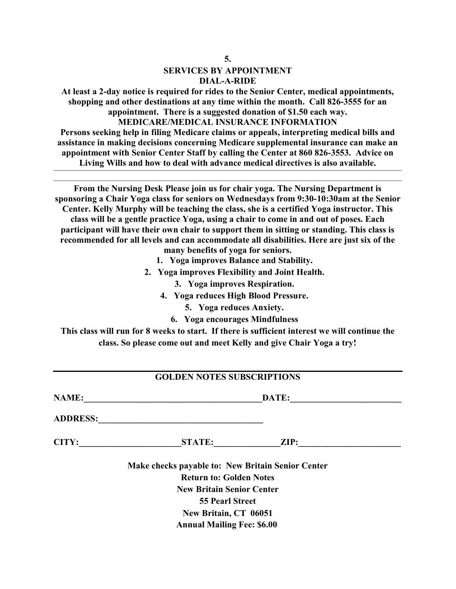# SERVICES BY APPOINTMENT DIAL-A-RIDE

At least a 2-day notice is required for rides to the Senior Center, medical appointments, shopping and other destinations at any time within the month. Call 826-3555 for an appointment. There is a suggested donation of \$1.50 each way.

### MEDICARE/MEDICAL INSURANCE INFORMATION

Persons seeking help in filing Medicare claims or appeals, interpreting medical bills and assistance in making decisions concerning Medicare supplemental insurance can make an appointment with Senior Center Staff by calling the Center at 860 826-3553. Advice on Living Wills and how to deal with advance medical directives is also available.

From the Nursing Desk Please join us for chair yoga. The Nursing Department is sponsoring a Chair Yoga class for seniors on Wednesdays from 9:30-10:30am at the Senior Center. Kelly Murphy will be teaching the class, she is a certified Yoga instructor. This class will be a gentle practice Yoga, using a chair to come in and out of poses. Each participant will have their own chair to support them in sitting or standing. This class is recommended for all levels and can accommodate all disabilities. Here are just six of the

many benefits of yoga for seniors.

- 1. Yoga improves Balance and Stability.
- 2. Yoga improves Flexibility and Joint Health.
	- 3. Yoga improves Respiration.
	- 4. Yoga reduces High Blood Pressure.
		- 5. Yoga reduces Anxiety.
		- 6. Yoga encourages Mindfulness

This class will run for 8 weeks to start. If there is sufficient interest we will continue the class. So please come out and meet Kelly and give Chair Yoga a try!

## GOLDEN NOTES SUBSCRIPTIONS

NAME:\_\_\_\_\_\_\_\_\_\_\_\_\_\_\_\_\_\_\_\_\_\_\_\_\_\_\_\_\_\_\_\_\_\_\_\_\_\_\_\_DATE:\_\_\_\_\_\_\_\_\_\_\_\_\_\_\_\_\_\_\_\_\_\_\_\_\_ ADDRESS: CITY:\_\_\_\_\_\_\_\_\_\_\_\_\_\_\_\_\_\_\_\_\_\_\_STATE:\_\_\_\_\_\_\_\_\_\_\_\_\_\_\_ZIP:\_\_\_\_\_\_\_\_\_\_\_\_\_\_\_\_\_\_\_\_\_\_\_ Make checks payable to: New Britain Senior Center Return to: Golden Notes New Britain Senior Center 55 Pearl Street

New Britain, CT 06051 Annual Mailing Fee: \$6.00

5.